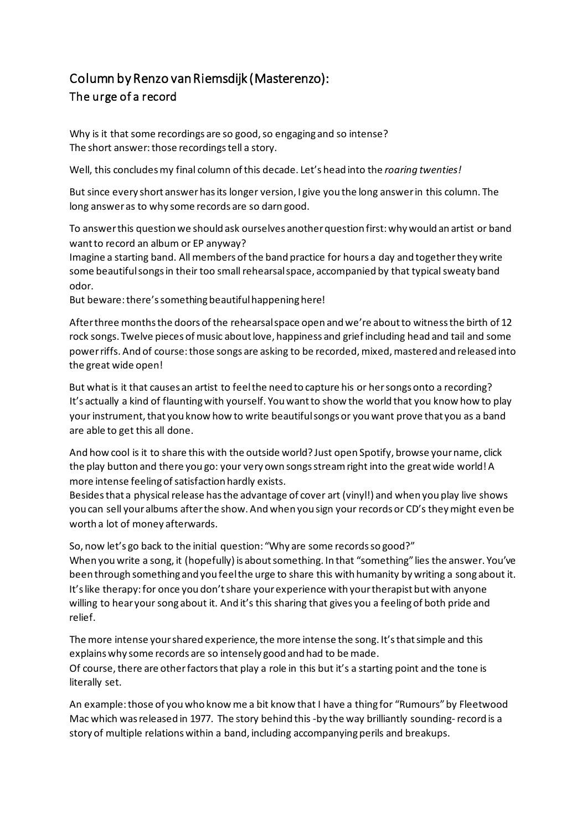## Column by Renzo van Riemsdijk (Masterenzo): The urge of a record

Why is it that some recordings are so good, so engaging and so intense? The short answer: those recordings tell a story.

Well, this concludesmy final column ofthis decade. Let's head into the *roaring twenties!*

But since every short answerhasits longer version, I give you the long answerin this column. The long answeras to why some records are so darn good.

To answerthis questionwe should ask ourselves anotherquestion first:why would an artist or band want to record an album or EP anyway?

Imagine a starting band. All members ofthe band practice for hours a day and togetherthey write some beautiful songs in their too small rehearsal space, accompanied by that typical sweaty band odor.

But beware: there's something beautiful happening here!

After three months the doors of the rehearsal space open and we're about to witness the birth of 12 rock songs. Twelve pieces of music aboutlove, happiness and grief including head and tail and some powerriffs. And of course:those songs are asking to be recorded,mixed,mastered and released into the great wide open!

But what is it that causes an artist to feel the need to capture his or her songs onto a recording? It's actually a kind of flauntingwith yourself. Youwantto show the world that you know how to play your instrument, that you know how to write beautiful songs or you want prove that you as a band are able to get this all done.

And how cool is it to share this with the outside world? Just open Spotify, browse yourname, click the play button and there you go: your very own songsstreamright into the greatwide world!A more intense feeling of satisfaction hardly exists.

Besides that a physical release has the advantage of cover art (vinyl!) and when you play live shows you can sell youralbums afterthe show. Andwhen you sign your records or CD's theymight even be worth a lot of money afterwards.

So, now let's go back to the initial question: "Why are some records so good?" When youwrite a song, it (hopefully) is aboutsomething. In that "something" lies the answer. You've been through something and you feelthe urge to share this with humanity by writing a song about it. It'slike therapy:for once you don'tshare yourexperience with yourtherapist butwith anyone willing to hear your song about it. And it's this sharing that gives you a feeling of both pride and relief.

The more intense your shared experience, the more intense the song. It's that simple and this explainswhy some records are so intensely good and had to be made. Of course, there are other factors that play a role in this but it's a starting point and the tone is literally set.

An example:those of youwho knowme a bit know that I have a thing for "Rumours"by Fleetwood Mac which wasreleased in 1977. The story behind this -by the way brilliantly sounding-record is a story of multiple relations within a band, including accompanying perils and breakups.